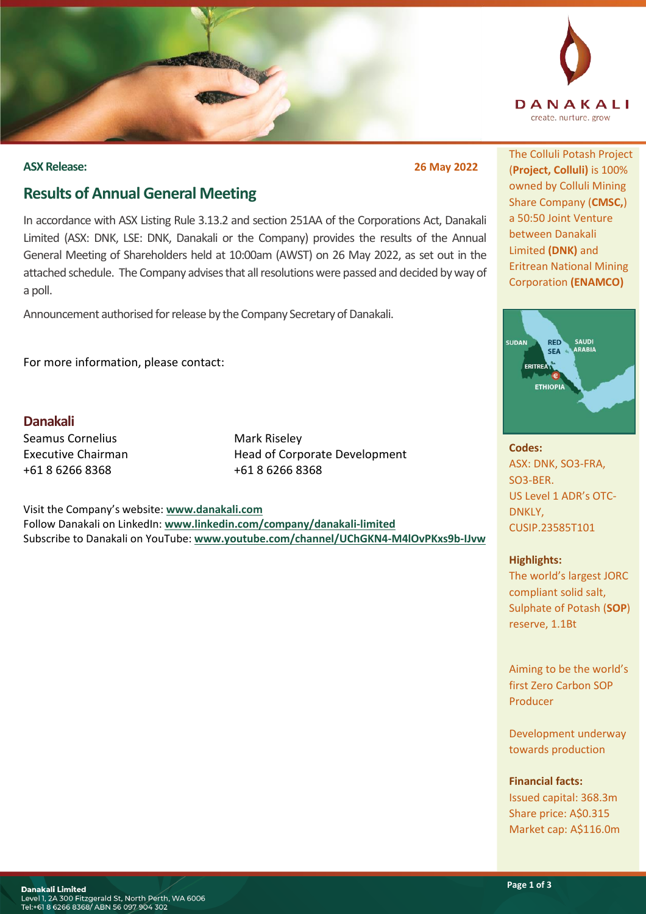

### **ASX Release: 26 May 2022**

# **Results of Annual General Meeting**

In accordance with ASX Listing Rule 3.13.2 and section 251AA of the Corporations Act, Danakali Limited (ASX: DNK, LSE: DNK, Danakali or the Company) provides the results of the Annual General Meeting of Shareholders held at 10:00am (AWST) on 26 May 2022, as set out in the attached schedule. The Company advises that all resolutions were passed and decided by way of a poll.

Announcement authorised for release by the Company Secretary of Danakali.

For more information, please contact:

**Danakali** Seamus Cornelius Executive Chairman +61 8 6266 8368

Mark Riseley Head of Corporate Development +61 8 6266 8368

Visit the Company's website: **[www.danakali.com](http://www.danakali.com/)** Follow Danakali on LinkedIn: **[www.linkedin.com/company/danakali-limited](http://www.linkedin.com/company/danakali-limited)** Subscribe to Danakali on YouTube: **[www.youtube.com/channel/UChGKN4-M4lOvPKxs9b-IJvw](http://www.youtube.com/channel/UChGKN4-M4lOvPKxs9b-IJvw)**

The Colluli Potash Project (**Project, Colluli)** is 100% owned by Colluli Mining Share Company (**CMSC,**) a 50:50 Joint Venture between Danakali Limited **(DNK)** and Eritrean National Mining Corporation **(ENAMCO)**



**Codes:** ASX: DNK, SO3-FRA, SO3-BER. US Level 1 ADR's OTC-DNKLY, CUSIP.23585T101

## **Highlights:**

The world's largest JORC compliant solid salt, Sulphate of Potash (**SOP**) reserve, 1.1Bt

Aiming to be the world's first Zero Carbon SOP Producer

Development underway towards production

**Financial facts:**

Issued capital: 368.3m Share price: A\$0.315 Market cap: A\$116.0m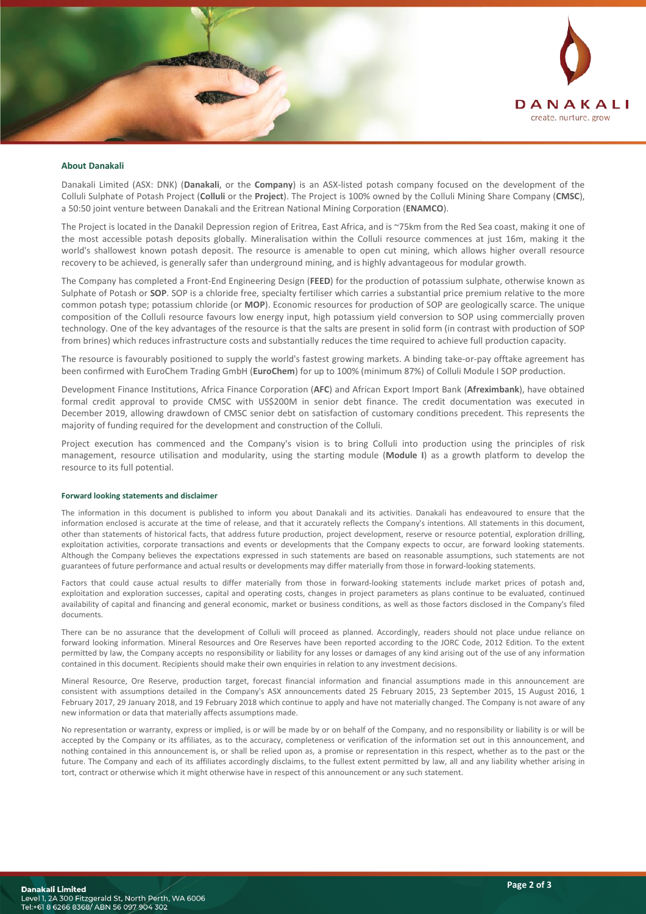

#### **About Danakali**

Danakali Limited (ASX: DNK) (**Danakali**, or the **Company**) is an ASX-listed potash company focused on the development of the Colluli Sulphate of Potash Project (**Colluli** or the **Project**). The Project is 100% owned by the Colluli Mining Share Company (**CMSC**), a 50:50 joint venture between Danakali and the Eritrean National Mining Corporation (**ENAMCO**).

The Project is located in the Danakil Depression region of Eritrea, East Africa, and is ~75km from the Red Sea coast, making it one of the most accessible potash deposits globally. Mineralisation within the Colluli resource commences at just 16m, making it the world's shallowest known potash deposit. The resource is amenable to open cut mining, which allows higher overall resource recovery to be achieved, is generally safer than underground mining, and is highly advantageous for modular growth.

The Company has completed a Front-End Engineering Design (**FEED**) for the production of potassium sulphate, otherwise known as Sulphate of Potash or **SOP**. SOP is a chloride free, specialty fertiliser which carries a substantial price premium relative to the more common potash type; potassium chloride (or **MOP**). Economic resources for production of SOP are geologically scarce. The unique composition of the Colluli resource favours low energy input, high potassium yield conversion to SOP using commercially proven technology. One of the key advantages of the resource is that the salts are present in solid form (in contrast with production of SOP from brines) which reduces infrastructure costs and substantially reduces the time required to achieve full production capacity.

The resource is favourably positioned to supply the world's fastest growing markets. A binding take-or-pay offtake agreement has been confirmed with EuroChem Trading GmbH (**EuroChem**) for up to 100% (minimum 87%) of Colluli Module I SOP production.

Development Finance Institutions, Africa Finance Corporation (**AFC**) and African Export Import Bank (**Afreximbank**), have obtained formal credit approval to provide CMSC with US\$200M in senior debt finance. The credit documentation was executed in December 2019, allowing drawdown of CMSC senior debt on satisfaction of customary conditions precedent. This represents the majority of funding required for the development and construction of the Colluli.

Project execution has commenced and the Company's vision is to bring Colluli into production using the principles of risk management, resource utilisation and modularity, using the starting module (**Module I**) as a growth platform to develop the resource to its full potential.

#### **Forward looking statements and disclaimer**

The information in this document is published to inform you about Danakali and its activities. Danakali has endeavoured to ensure that the information enclosed is accurate at the time of release, and that it accurately reflects the Company's intentions. All statements in this document, other than statements of historical facts, that address future production, project development, reserve or resource potential, exploration drilling, exploitation activities, corporate transactions and events or developments that the Company expects to occur, are forward looking statements. Although the Company believes the expectations expressed in such statements are based on reasonable assumptions, such statements are not guarantees of future performance and actual results or developments may differ materially from those in forward-looking statements.

Factors that could cause actual results to differ materially from those in forward-looking statements include market prices of potash and, exploitation and exploration successes, capital and operating costs, changes in project parameters as plans continue to be evaluated, continued availability of capital and financing and general economic, market or business conditions, as well as those factors disclosed in the Company's filed documents.

There can be no assurance that the development of Colluli will proceed as planned. Accordingly, readers should not place undue reliance on forward looking information. Mineral Resources and Ore Reserves have been reported according to the JORC Code, 2012 Edition. To the extent permitted by law, the Company accepts no responsibility or liability for any losses or damages of any kind arising out of the use of any information contained in this document. Recipients should make their own enquiries in relation to any investment decisions.

Mineral Resource, Ore Reserve, production target, forecast financial information and financial assumptions made in this announcement are consistent with assumptions detailed in the Company's ASX announcements dated 25 February 2015, 23 September 2015, 15 August 2016, 1 February 2017, 29 January 2018, and 19 February 2018 which continue to apply and have not materially changed. The Company is not aware of any new information or data that materially affects assumptions made.

No representation or warranty, express or implied, is or will be made by or on behalf of the Company, and no responsibility or liability is or will be accepted by the Company or its affiliates, as to the accuracy, completeness or verification of the information set out in this announcement, and nothing contained in this announcement is, or shall be relied upon as, a promise or representation in this respect, whether as to the past or the future. The Company and each of its affiliates accordingly disclaims, to the fullest extent permitted by law, all and any liability whether arising in tort, contract or otherwise which it might otherwise have in respect of this announcement or any such statement.